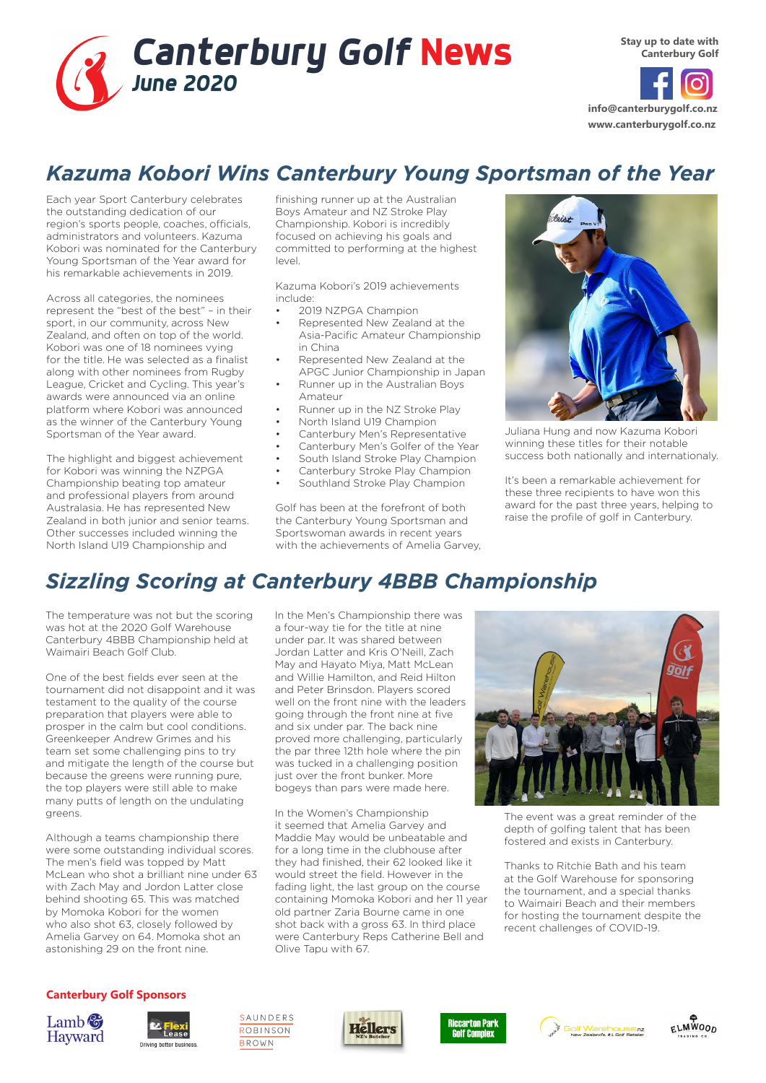

**info@canterburygolf.co.nz www.canterburygolf.co.nz**

### *Kazuma Kobori Wins Canterbury Young Sportsman of the Year*

Each year Sport Canterbury celebrates the outstanding dedication of our region's sports people, coaches, officials, administrators and volunteers. Kazuma Kobori was nominated for the Canterbury Young Sportsman of the Year award for his remarkable achievements in 2019.

Across all categories, the nominees represent the "best of the best" – in their sport, in our community, across New Zealand, and often on top of the world. Kobori was one of 18 nominees vying for the title. He was selected as a finalist along with other nominees from Rugby League, Cricket and Cycling. This year's awards were announced via an online platform where Kobori was announced as the winner of the Canterbury Young Sportsman of the Year award.

The highlight and biggest achievement for Kobori was winning the NZPGA Championship beating top amateur and professional players from around Australasia. He has represented New Zealand in both junior and senior teams. Other successes included winning the North Island U19 Championship and

finishing runner up at the Australian Boys Amateur and NZ Stroke Play Championship. Kobori is incredibly focused on achieving his goals and committed to performing at the highest level.

Kazuma Kobori's 2019 achievements include:

- 2019 NZPGA Champion
- Represented New Zealand at the Asia-Pacific Amateur Championship in China
- Represented New Zealand at the APGC Junior Championship in Japan
- Runner up in the Australian Boys Amateur
- Runner up in the NZ Stroke Play
- North Island U19 Champion
- Canterbury Men's Representative
- Canterbury Men's Golfer of the Year
- South Island Stroke Play Champion
- Canterbury Stroke Play Champion
- Southland Stroke Play Champion

Golf has been at the forefront of both the Canterbury Young Sportsman and Sportswoman awards in recent years with the achievements of Amelia Garvey,



Juliana Hung and now Kazuma Kobori winning these titles for their notable success both nationally and internationaly.

It's been a remarkable achievement for these three recipients to have won this award for the past three years, helping to raise the profile of golf in Canterbury.

# *Sizzling Scoring at Canterbury 4BBB Championship*

The temperature was not but the scoring was hot at the 2020 Golf Warehouse Canterbury 4BBB Championship held at Waimairi Beach Golf Club.

One of the best fields ever seen at the tournament did not disappoint and it was testament to the quality of the course preparation that players were able to prosper in the calm but cool conditions. Greenkeeper Andrew Grimes and his team set some challenging pins to try and mitigate the length of the course but because the greens were running pure, the top players were still able to make many putts of length on the undulating greens.

Although a teams championship there were some outstanding individual scores. The men's field was topped by Matt McLean who shot a brilliant nine under 63 with Zach May and Jordon Latter close behind shooting 65. This was matched by Momoka Kobori for the women who also shot 63, closely followed by Amelia Garvey on 64. Momoka shot an astonishing 29 on the front nine.

In the Men's Championship there was a four-way tie for the title at nine under par. It was shared between Jordan Latter and Kris O'Neill, Zach May and Hayato Miya, Matt McLean and Willie Hamilton, and Reid Hilton and Peter Brinsdon. Players scored well on the front nine with the leaders going through the front nine at five and six under par. The back nine proved more challenging, particularly the par three 12th hole where the pin was tucked in a challenging position just over the front bunker. More bogeys than pars were made here.

In the Women's Championship it seemed that Amelia Garvey and Maddie May would be unbeatable and for a long time in the clubhouse after they had finished, their 62 looked like it would street the field. However in the fading light, the last group on the course containing Momoka Kobori and her 11 year old partner Zaria Bourne came in one shot back with a gross 63. In third place were Canterbury Reps Catherine Bell and Olive Tapu with 67.



The event was a great reminder of the depth of golfing talent that has been fostered and exists in Canterbury.

Thanks to Ritchie Bath and his team at the Golf Warehouse for sponsoring the tournament, and a special thanks to Waimairi Beach and their members for hosting the tournament despite the recent challenges of COVID-19.

#### **Canterbury Golf Sponsors**